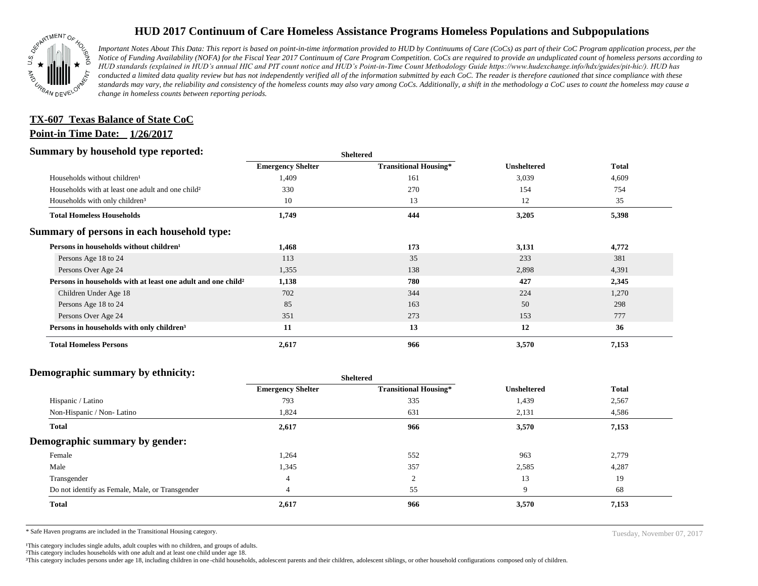

## **HUD 2017 Continuum of Care Homeless Assistance Programs Homeless Populations and Subpopulations**

*Important Notes About This Data: This report is based on point-in-time information provided to HUD by Continuums of Care (CoCs) as part of their CoC Program application process, per the Notice of Funding Availability (NOFA) for the Fiscal Year 2017 Continuum of Care Program Competition. CoCs are required to provide an unduplicated count of homeless persons according to HUD standards (explained in HUD's annual HIC and PIT count notice and HUD's Point-in-Time Count Methodology Guide https://www.hudexchange.info/hdx/guides/pit-hic/). HUD has conducted a limited data quality review but has not independently verified all of the information submitted by each CoC. The reader is therefore cautioned that since compliance with these*  standards may vary, the reliability and consistency of the homeless counts may also vary among CoCs. Additionally, a shift in the methodology a CoC uses to count the homeless may cause a *change in homeless counts between reporting periods.*

## **Point-in Time Date: 1/26/2017 TX-607 Texas Balance of State CoC**

#### **Summary by household type reported:**

| . .                                                                      | энскег са                |                              |                    |              |
|--------------------------------------------------------------------------|--------------------------|------------------------------|--------------------|--------------|
|                                                                          | <b>Emergency Shelter</b> | <b>Transitional Housing*</b> | <b>Unsheltered</b> | <b>Total</b> |
| Households without children <sup>1</sup>                                 | 1,409                    | 161                          | 3,039              | 4,609        |
| Households with at least one adult and one child <sup>2</sup>            | 330                      | 270                          | 154                | 754          |
| Households with only children <sup>3</sup>                               | 10                       | 13                           | 12                 | 35           |
| <b>Total Homeless Households</b>                                         | 1,749                    | 444                          | 3,205              | 5,398        |
| Summary of persons in each household type:                               |                          |                              |                    |              |
| Persons in households without children <sup>1</sup>                      | 1,468                    | 173                          | 3,131              | 4,772        |
| Persons Age 18 to 24                                                     | 113                      | 35                           | 233                | 381          |
| Persons Over Age 24                                                      | 1,355                    | 138                          | 2,898              | 4,391        |
| Persons in households with at least one adult and one child <sup>2</sup> | 1,138                    | 780                          | 427                | 2,345        |
| Children Under Age 18                                                    | 702                      | 344                          | 224                | 1,270        |
| Persons Age 18 to 24                                                     | 85                       | 163                          | 50                 | 298          |
| Persons Over Age 24                                                      | 351                      | 273                          | 153                | 777          |
| Persons in households with only children <sup>3</sup>                    | 11                       | 13                           | 12                 | 36           |
| <b>Total Homeless Persons</b>                                            | 2,617                    | 966                          | 3,570              | 7,153        |

**Sheltered**

#### **Demographic summary by ethnicity:**

| ັ<br>. .<br>$\bullet$<br>. .<br>$\bullet$       | Sheltered                |                              |                    |              |
|-------------------------------------------------|--------------------------|------------------------------|--------------------|--------------|
|                                                 | <b>Emergency Shelter</b> | <b>Transitional Housing*</b> | <b>Unsheltered</b> | <b>Total</b> |
| Hispanic / Latino                               | 793                      | 335                          | 1,439              | 2,567        |
| Non-Hispanic / Non-Latino                       | 1,824                    | 631                          | 2,131              | 4,586        |
| Total                                           | 2,617                    | 966                          | 3,570              | 7,153        |
| Demographic summary by gender:                  |                          |                              |                    |              |
| Female                                          | 1,264                    | 552                          | 963                | 2,779        |
| Male                                            | 1,345                    | 357                          | 2,585              | 4,287        |
| Transgender                                     | $\overline{4}$           | ◠<br>∠                       | 13                 | 19           |
| Do not identify as Female, Male, or Transgender |                          | 55                           | 9                  | 68           |
| <b>Total</b>                                    | 2,617                    | 966                          | 3,570              | 7,153        |
|                                                 |                          |                              |                    |              |

**Sheltered**

\* Safe Haven programs are included in the Transitional Housing category. Tuesday, November 07, 2017

<sup>1</sup>This category includes single adults, adult couples with no children, and groups of adults.

²This category includes households with one adult and at least one child under age 18.

³This category includes persons under age 18, including children in one -child households, adolescent parents and their children, adolescent siblings, or other household configurations composed only of children.